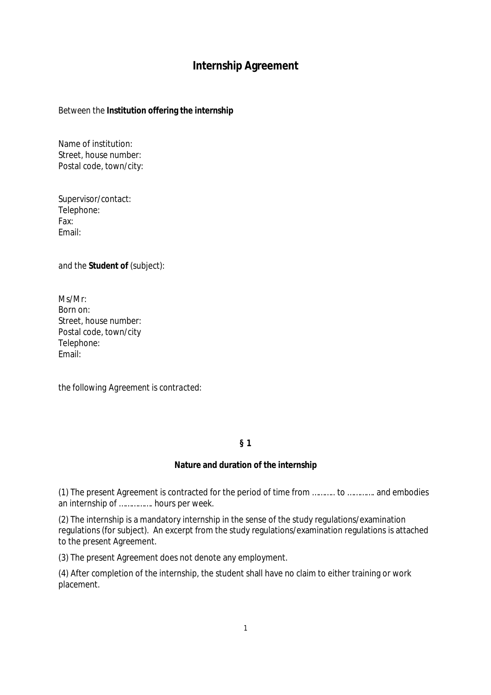# **Internship Agreement**

*Between the* **Institution offering the internship**

Name of institution: Street, house number: Postal code, town/city:

Supervisor/contact: Telephone: Fax: Email:

*and the* **Student of** (subject):

Ms/Mr: Born on: Street, house number: Postal code, town/city Telephone: Email:

*the following Agreement is contracted:*

**§ 1**

#### **Nature and duration of the internship**

(1) The present Agreement is contracted for the period of time from ……….. to …………. and embodies an internship of ……………. hours per week.

(2) The internship is a mandatory internship in the sense of the study regulations/examination regulations (for subject). An excerpt from the study regulations/examination regulations is attached to the present Agreement.

(3) The present Agreement does not denote any employment.

(4) After completion of the internship, the student shall have no claim to either training or work placement.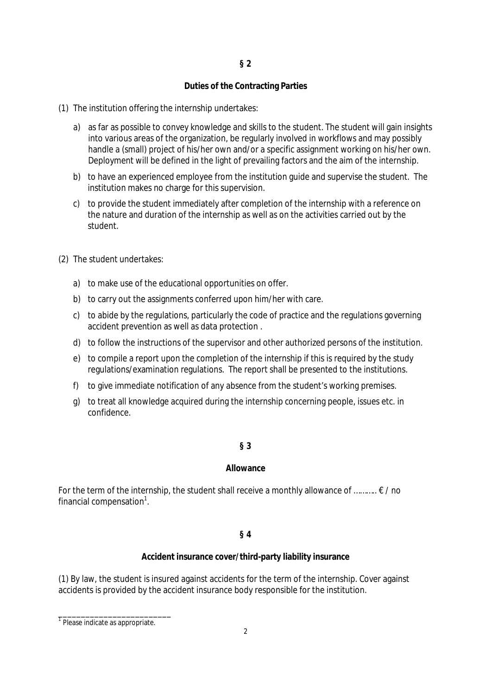# **§ 2**

### **Duties of the Contracting Parties**

- (1) The institution offering the internship undertakes:
	- a) as far as possible to convey knowledge and skills to the student. The student will gain insights into various areas of the organization, be regularly involved in workflows and may possibly handle a (small) project of his/her own and/or a specific assignment working on his/her own. Deployment will be defined in the light of prevailing factors and the aim of the internship.
	- b) to have an experienced employee from the institution guide and supervise the student. The institution makes no charge for this supervision.
	- c) to provide the student immediately after completion of the internship with a reference on the nature and duration of the internship as well as on the activities carried out by the student.
- (2) The student undertakes:
	- a) to make use of the educational opportunities on offer.
	- b) to carry out the assignments conferred upon him/her with care.
	- c) to abide by the regulations, particularly the code of practice and the regulations governing accident prevention as well as data protection .
	- d) to follow the instructions of the supervisor and other authorized persons of the institution.
	- e) to compile a report upon the completion of the internship if this is required by the study regulations/examination regulations. The report shall be presented to the institutions.
	- f) to give immediate notification of any absence from the student's working premises.
	- g) to treat all knowledge acquired during the internship concerning people, issues etc. in confidence.

#### **§ 3**

#### **Allowance**

For the term of the internship, the student shall receive a monthly allowance of  $\dots \dots \in \ell$  no financial compensation $1$ .

#### **§ 4**

#### **Accident insurance cover/third-party liability insurance**

(1) By law, the student is insured against accidents for the term of the internship. Cover against accidents is provided by the accident insurance body responsible for the institution.

\_\_\_\_\_\_\_\_\_\_\_\_\_\_\_\_\_\_\_\_\_\_\_\_\_ 1 Please indicate as appropriate.